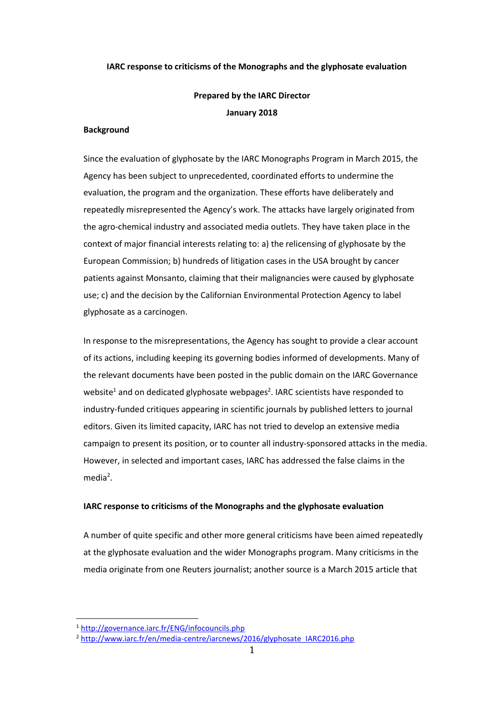### **IARC response to criticisms of the Monographs and the glyphosate evaluation**

## **Prepared by the IARC Director January 2018**

### **Background**

Since the evaluation of glyphosate by the IARC Monographs Program in March 2015, the Agency has been subject to unprecedented, coordinated efforts to undermine the evaluation, the program and the organization. These efforts have deliberately and repeatedly misrepresented the Agency's work. The attacks have largely originated from the agro-chemical industry and associated media outlets. They have taken place in the context of major financial interests relating to: a) the relicensing of glyphosate by the European Commission; b) hundreds of litigation cases in the USA brought by cancer patients against Monsanto, claiming that their malignancies were caused by glyphosate use; c) and the decision by the Californian Environmental Protection Agency to label glyphosate as a carcinogen.

In response to the misrepresentations, the Agency has sought to provide a clear account of its actions, including keeping its governing bodies informed of developments. Many of the relevant documents have been posted in the public domain on the IARC Governance website<sup>1</sup> and on dedicated glyphosate webpages<sup>2</sup>. IARC scientists have responded to industry-funded critiques appearing in scientific journals by published letters to journal editors. Given its limited capacity, IARC has not tried to develop an extensive media campaign to present its position, or to counter all industry-sponsored attacks in the media. However, in selected and important cases, IARC has addressed the false claims in the media<sup>2</sup>.

### **IARC response to criticisms of the Monographs and the glyphosate evaluation**

A number of quite specific and other more general criticisms have been aimed repeatedly at the glyphosate evaluation and the wider Monographs program. Many criticisms in the media originate from one Reuters journalist; another source is a March 2015 article that

<sup>1</sup> <http://governance.iarc.fr/ENG/infocouncils.php>

<sup>&</sup>lt;sup>2</sup> [http://www.iarc.fr/en/media-centre/iarcnews/2016/glyphosate\\_IARC2016.php](http://www.iarc.fr/en/media-centre/iarcnews/2016/glyphosate_IARC2016.php)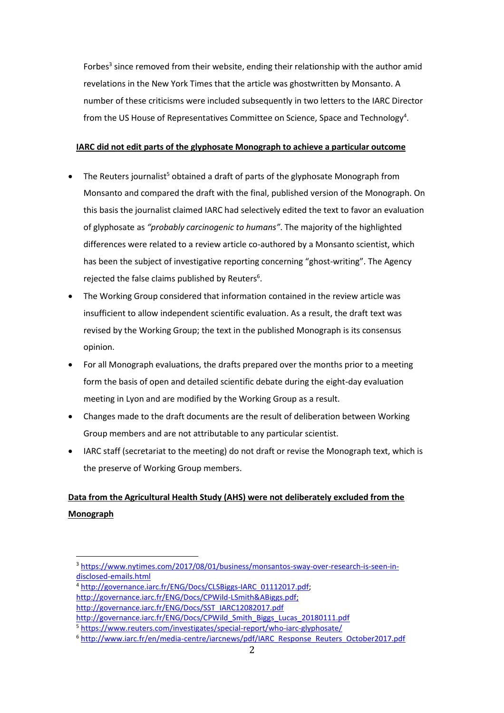Forbes<sup>3</sup> since removed from their website, ending their relationship with the author amid revelations in the New York Times that the article was ghostwritten by Monsanto. A number of these criticisms were included subsequently in two letters to the IARC Director from the US House of Representatives Committee on Science, Space and Technology<sup>4</sup>.

## **IARC did not edit parts of the glyphosate Monograph to achieve a particular outcome**

- The Reuters journalist<sup>5</sup> obtained a draft of parts of the glyphosate Monograph from Monsanto and compared the draft with the final, published version of the Monograph. On this basis the journalist claimed IARC had selectively edited the text to favor an evaluation of glyphosate as *"probably carcinogenic to humans"*. The majority of the highlighted differences were related to a review article co-authored by a Monsanto scientist, which has been the subject of investigative reporting concerning "ghost-writing". The Agency rejected the false claims published by Reuters $6$ .
- The Working Group considered that information contained in the review article was insufficient to allow independent scientific evaluation. As a result, the draft text was revised by the Working Group; the text in the published Monograph is its consensus opinion.
- For all Monograph evaluations, the drafts prepared over the months prior to a meeting form the basis of open and detailed scientific debate during the eight-day evaluation meeting in Lyon and are modified by the Working Group as a result.
- Changes made to the draft documents are the result of deliberation between Working Group members and are not attributable to any particular scientist.
- IARC staff (secretariat to the meeting) do not draft or revise the Monograph text, which is the preserve of Working Group members.

# **Data from the Agricultural Health Study (AHS) were not deliberately excluded from the Monograph**

<sup>&</sup>lt;sup>3</sup> [https://www.nytimes.com/2017/08/01/business/monsantos-sway-over-research-is-seen-in](https://www.nytimes.com/2017/08/01/business/monsantos-sway-over-research-is-seen-in-disclosed-emails.html)[disclosed-emails.html](https://www.nytimes.com/2017/08/01/business/monsantos-sway-over-research-is-seen-in-disclosed-emails.html)

<sup>4</sup> [http://governance.iarc.fr/ENG/Docs/CLSBiggs-IARC\\_01112017.pdf;](http://governance.iarc.fr/ENG/Docs/CLSBiggs-IARC_01112017.pdf)

[http://governance.iarc.fr/ENG/Docs/CPWild-LSmith&ABiggs.pdf;](http://governance.iarc.fr/ENG/Docs/CPWild-LSmith&ABiggs.pdf)

[http://governance.iarc.fr/ENG/Docs/SST\\_IARC12082017.pdf](http://governance.iarc.fr/ENG/Docs/SST_IARC12082017.pdf)

[http://governance.iarc.fr/ENG/Docs/CPWild\\_Smith\\_Biggs\\_Lucas\\_20180111.pdf](http://governance.iarc.fr/ENG/Docs/CPWild_Smith_Biggs_Lucas_20180111.pdf)

<sup>5</sup> <https://www.reuters.com/investigates/special-report/who-iarc-glyphosate/>

<sup>&</sup>lt;sup>6</sup> [http://www.iarc.fr/en/media-centre/iarcnews/pdf/IARC\\_Response\\_Reuters\\_October2017.pdf](http://www.iarc.fr/en/media-centre/iarcnews/pdf/IARC_Response_Reuters_October2017.pdf)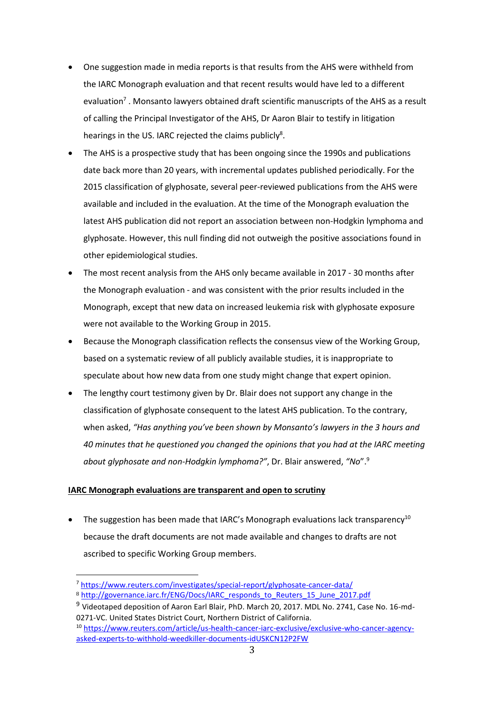- One suggestion made in media reports is that results from the AHS were withheld from the IARC Monograph evaluation and that recent results would have led to a different evaluation<sup>7</sup> . Monsanto lawyers obtained draft scientific manuscripts of the AHS as a result of calling the Principal Investigator of the AHS, Dr Aaron Blair to testify in litigation hearings in the US. IARC rejected the claims publicly<sup>8</sup>.
- The AHS is a prospective study that has been ongoing since the 1990s and publications date back more than 20 years, with incremental updates published periodically. For the 2015 classification of glyphosate, several peer-reviewed publications from the AHS were available and included in the evaluation. At the time of the Monograph evaluation the latest AHS publication did not report an association between non-Hodgkin lymphoma and glyphosate. However, this null finding did not outweigh the positive associations found in other epidemiological studies.
- The most recent analysis from the AHS only became available in 2017 30 months after the Monograph evaluation - and was consistent with the prior results included in the Monograph, except that new data on increased leukemia risk with glyphosate exposure were not available to the Working Group in 2015.
- Because the Monograph classification reflects the consensus view of the Working Group, based on a systematic review of all publicly available studies, it is inappropriate to speculate about how new data from one study might change that expert opinion.
- The lengthy court testimony given by Dr. Blair does not support any change in the classification of glyphosate consequent to the latest AHS publication. To the contrary, when asked, *"Has anything you've been shown by Monsanto's lawyers in the 3 hours and 40 minutes that he questioned you changed the opinions that you had at the IARC meeting about glyphosate and non-Hodgkin lymphoma?"*, Dr. Blair answered, *"No*".<sup>9</sup>

## **IARC Monograph evaluations are transparent and open to scrutiny**

 $\overline{a}$ 

The suggestion has been made that IARC's Monograph evaluations lack transparency<sup>10</sup> because the draft documents are not made available and changes to drafts are not ascribed to specific Working Group members.

<sup>7</sup> <https://www.reuters.com/investigates/special-report/glyphosate-cancer-data/>

<sup>8</sup> [http://governance.iarc.fr/ENG/Docs/IARC\\_responds\\_to\\_Reuters\\_15\\_June\\_2017.pdf](http://governance.iarc.fr/ENG/Docs/IARC_responds_to_Reuters_15_June_2017.pdf)

<sup>9</sup> Videotaped deposition of Aaron Earl Blair, PhD. March 20, 2017. MDL No. 2741, Case No. 16-md-0271-VC. United States District Court, Northern District of California.

<sup>10</sup> [https://www.reuters.com/article/us-health-cancer-iarc-exclusive/exclusive-who-cancer-agency](https://www.reuters.com/article/us-health-cancer-iarc-exclusive/exclusive-who-cancer-agency-asked-experts-to-withhold-weedkiller-documents-idUSKCN12P2FW)[asked-experts-to-withhold-weedkiller-documents-idUSKCN12P2FW](https://www.reuters.com/article/us-health-cancer-iarc-exclusive/exclusive-who-cancer-agency-asked-experts-to-withhold-weedkiller-documents-idUSKCN12P2FW)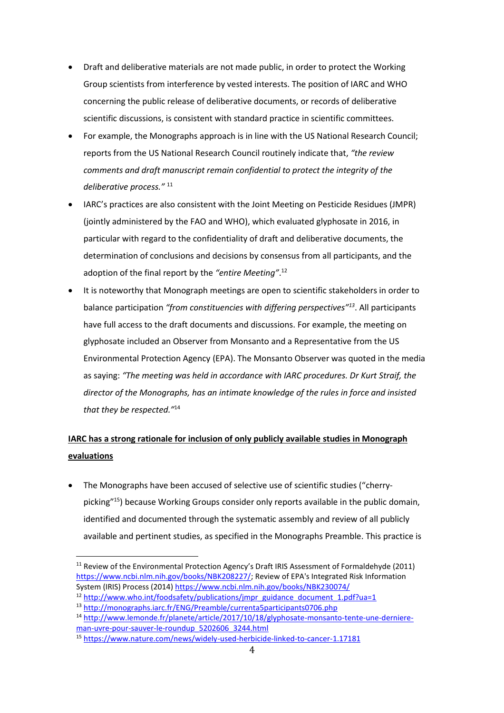- Draft and deliberative materials are not made public, in order to protect the Working Group scientists from interference by vested interests. The position of IARC and WHO concerning the public release of deliberative documents, or records of deliberative scientific discussions, is consistent with standard practice in scientific committees.
- For example, the Monographs approach is in line with the US National Research Council; reports from the US National Research Council routinely indicate that, *"the review comments and draft manuscript remain confidential to protect the integrity of the deliberative process."* <sup>11</sup>
- IARC's practices are also consistent with the Joint Meeting on Pesticide Residues (JMPR) (jointly administered by the FAO and WHO), which evaluated glyphosate in 2016, in particular with regard to the confidentiality of draft and deliberative documents, the determination of conclusions and decisions by consensus from all participants, and the adoption of the final report by the *"entire Meeting"*. 12
- It is noteworthy that Monograph meetings are open to scientific stakeholders in order to balance participation *"from constituencies with differing perspectives"<sup>13</sup>*. All participants have full access to the draft documents and discussions. For example, the meeting on glyphosate included an Observer from Monsanto and a Representative from the US Environmental Protection Agency (EPA). The Monsanto Observer was quoted in the media as saying: *"The meeting was held in accordance with IARC procedures. Dr Kurt Straif, the director of the Monographs, has an intimate knowledge of the rules in force and insisted that they be respected."*<sup>14</sup>

# **IARC has a strong rationale for inclusion of only publicly available studies in Monograph evaluations**

 The Monographs have been accused of selective use of scientific studies ("cherrypicking" <sup>15</sup>) because Working Groups consider only reports available in the public domain, identified and documented through the systematic assembly and review of all publicly available and pertinent studies, as specified in the Monographs Preamble. This practice is

 $\overline{a}$ <sup>11</sup> Review of the Environmental Protection Agency's Draft IRIS Assessment of Formaldehyde (2011) [https://www.ncbi.nlm.nih.gov/books/NBK208227/;](https://www.ncbi.nlm.nih.gov/books/NBK208227/) Review of EPA's Integrated Risk Information System (IRIS) Process (2014)<https://www.ncbi.nlm.nih.gov/books/NBK230074/>

<sup>&</sup>lt;sup>12</sup> [http://www.who.int/foodsafety/publications/jmpr\\_guidance\\_document\\_1.pdf?ua=1](http://www.who.int/foodsafety/publications/jmpr_guidance_document_1.pdf?ua=1)

<sup>13</sup> <http://monographs.iarc.fr/ENG/Preamble/currenta5participants0706.php>

<sup>14</sup> [http://www.lemonde.fr/planete/article/2017/10/18/glyphosate-monsanto-tente-une-derniere](http://www.lemonde.fr/planete/article/2017/10/18/glyphosate-monsanto-tente-une-derniere-man-uvre-pour-sauver-le-roundup_5202606_3244.html)[man-uvre-pour-sauver-le-roundup\\_5202606\\_3244.html](http://www.lemonde.fr/planete/article/2017/10/18/glyphosate-monsanto-tente-une-derniere-man-uvre-pour-sauver-le-roundup_5202606_3244.html)

<sup>15</sup> <https://www.nature.com/news/widely-used-herbicide-linked-to-cancer-1.17181>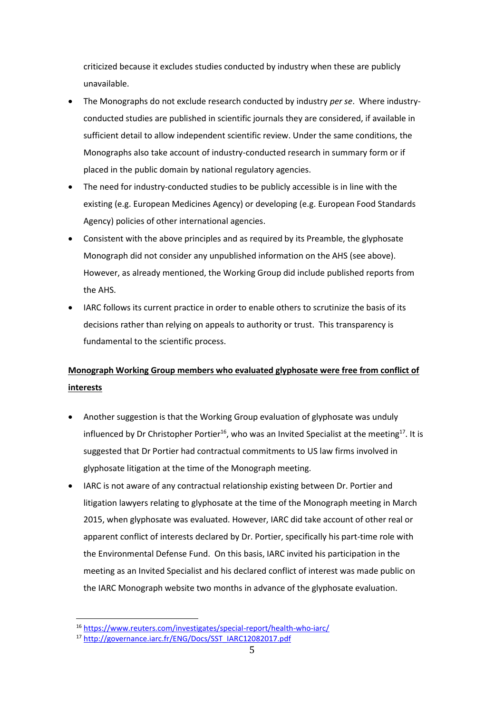criticized because it excludes studies conducted by industry when these are publicly unavailable.

- The Monographs do not exclude research conducted by industry *per se*. Where industryconducted studies are published in scientific journals they are considered, if available in sufficient detail to allow independent scientific review. Under the same conditions, the Monographs also take account of industry-conducted research in summary form or if placed in the public domain by national regulatory agencies.
- The need for industry-conducted studies to be publicly accessible is in line with the existing (e.g. European Medicines Agency) or developing (e.g. European Food Standards Agency) policies of other international agencies.
- Consistent with the above principles and as required by its Preamble, the glyphosate Monograph did not consider any unpublished information on the AHS (see above). However, as already mentioned, the Working Group did include published reports from the AHS.
- IARC follows its current practice in order to enable others to scrutinize the basis of its decisions rather than relying on appeals to authority or trust. This transparency is fundamental to the scientific process.

# **Monograph Working Group members who evaluated glyphosate were free from conflict of interests**

- Another suggestion is that the Working Group evaluation of glyphosate was unduly influenced by Dr Christopher Portier<sup>16</sup>, who was an Invited Specialist at the meeting<sup>17</sup>. It is suggested that Dr Portier had contractual commitments to US law firms involved in glyphosate litigation at the time of the Monograph meeting.
- IARC is not aware of any contractual relationship existing between Dr. Portier and litigation lawyers relating to glyphosate at the time of the Monograph meeting in March 2015, when glyphosate was evaluated. However, IARC did take account of other real or apparent conflict of interests declared by Dr. Portier, specifically his part-time role with the Environmental Defense Fund. On this basis, IARC invited his participation in the meeting as an Invited Specialist and his declared conflict of interest was made public on the IARC Monograph website two months in advance of the glyphosate evaluation.

<sup>16</sup> <https://www.reuters.com/investigates/special-report/health-who-iarc/>

<sup>17</sup> [http://governance.iarc.fr/ENG/Docs/SST\\_IARC12082017.pdf](http://governance.iarc.fr/ENG/Docs/SST_IARC12082017.pdf)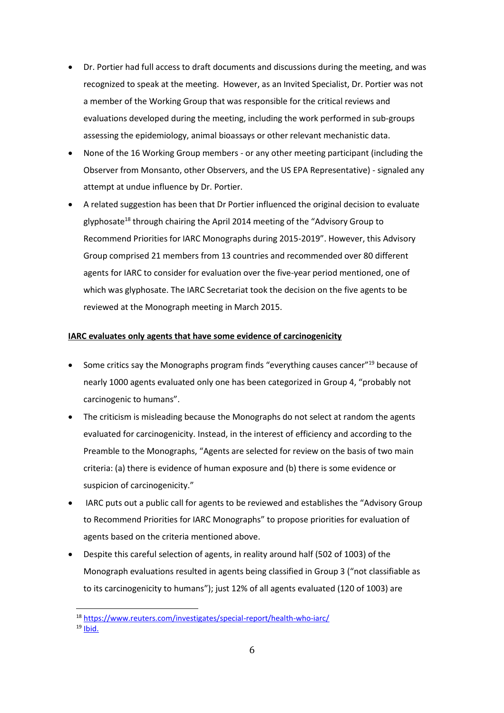- Dr. Portier had full access to draft documents and discussions during the meeting, and was recognized to speak at the meeting. However, as an Invited Specialist, Dr. Portier was not a member of the Working Group that was responsible for the critical reviews and evaluations developed during the meeting, including the work performed in sub-groups assessing the epidemiology, animal bioassays or other relevant mechanistic data.
- None of the 16 Working Group members or any other meeting participant (including the Observer from Monsanto, other Observers, and the US EPA Representative) - signaled any attempt at undue influence by Dr. Portier.
- A related suggestion has been that Dr Portier influenced the original decision to evaluate glyphosate<sup>18</sup> through chairing the April 2014 meeting of the "Advisory Group to Recommend Priorities for IARC Monographs during 2015-2019". However, this Advisory Group comprised 21 members from 13 countries and recommended over 80 different agents for IARC to consider for evaluation over the five-year period mentioned, one of which was glyphosate. The IARC Secretariat took the decision on the five agents to be reviewed at the Monograph meeting in March 2015.

### **IARC evaluates only agents that have some evidence of carcinogenicity**

- Some critics say the Monographs program finds "everything causes cancer"<sup>19</sup> because of nearly 1000 agents evaluated only one has been categorized in Group 4, "probably not carcinogenic to humans".
- The criticism is misleading because the Monographs do not select at random the agents evaluated for carcinogenicity. Instead, in the interest of efficiency and according to the Preamble to the Monographs, "Agents are selected for review on the basis of two main criteria: (a) there is evidence of human exposure and (b) there is some evidence or suspicion of carcinogenicity."
- IARC puts out a public call for agents to be reviewed and establishes the "Advisory Group to Recommend Priorities for IARC Monographs" to propose priorities for evaluation of agents based on the criteria mentioned above.
- Despite this careful selection of agents, in reality around half (502 of 1003) of the Monograph evaluations resulted in agents being classified in Group 3 ("not classifiable as to its carcinogenicity to humans"); just 12% of all agents evaluated (120 of 1003) are

<sup>18</sup> <https://www.reuters.com/investigates/special-report/health-who-iarc/>  $19$  [Ibid.](https://www.reuters.com/investigates/special-report/health-who-iarc/)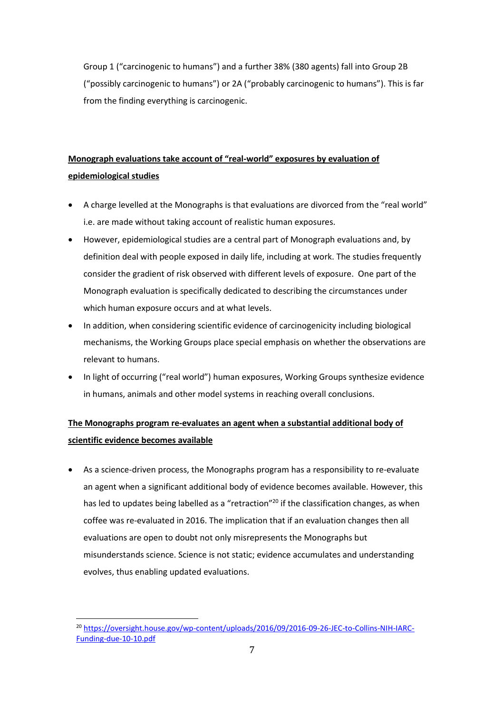Group 1 ("carcinogenic to humans") and a further 38% (380 agents) fall into Group 2B ("possibly carcinogenic to humans") or 2A ("probably carcinogenic to humans"). This is far from the finding everything is carcinogenic.

# **Monograph evaluations take account of "real-world" exposures by evaluation of epidemiological studies**

- A charge levelled at the Monographs is that evaluations are divorced from the "real world" i.e. are made without taking account of realistic human exposures.
- However, epidemiological studies are a central part of Monograph evaluations and, by definition deal with people exposed in daily life, including at work. The studies frequently consider the gradient of risk observed with different levels of exposure. One part of the Monograph evaluation is specifically dedicated to describing the circumstances under which human exposure occurs and at what levels.
- In addition, when considering scientific evidence of carcinogenicity including biological mechanisms, the Working Groups place special emphasis on whether the observations are relevant to humans.
- In light of occurring ("real world") human exposures, Working Groups synthesize evidence in humans, animals and other model systems in reaching overall conclusions.

## **The Monographs program re-evaluates an agent when a substantial additional body of scientific evidence becomes available**

 As a science-driven process, the Monographs program has a responsibility to re-evaluate an agent when a significant additional body of evidence becomes available. However, this has led to updates being labelled as a "retraction"<sup>20</sup> if the classification changes, as when coffee was re-evaluated in 2016. The implication that if an evaluation changes then all evaluations are open to doubt not only misrepresents the Monographs but misunderstands science. Science is not static; evidence accumulates and understanding evolves, thus enabling updated evaluations.

<sup>&</sup>lt;sup>20</sup> [https://oversight.house.gov/wp-content/uploads/2016/09/2016-09-26-JEC-to-Collins-NIH-IARC-](https://oversight.house.gov/wp-content/uploads/2016/09/2016-09-26-JEC-to-Collins-NIH-IARC-Funding-due-10-10.pdf)[Funding-due-10-10.pdf](https://oversight.house.gov/wp-content/uploads/2016/09/2016-09-26-JEC-to-Collins-NIH-IARC-Funding-due-10-10.pdf)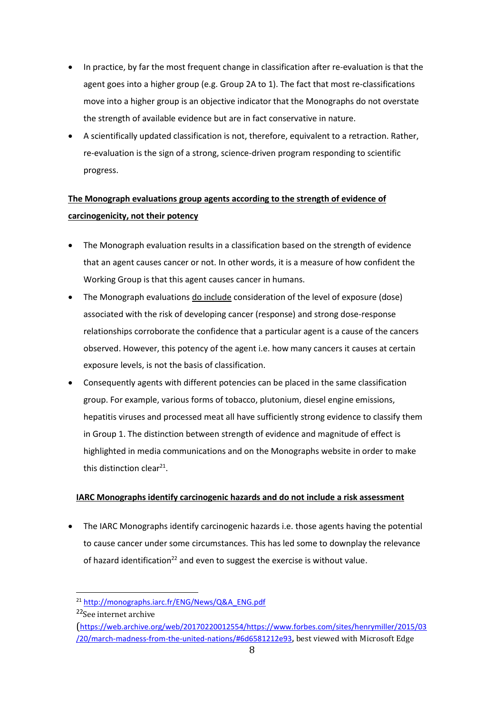- In practice, by far the most frequent change in classification after re-evaluation is that the agent goes into a higher group (e.g. Group 2A to 1). The fact that most re-classifications move into a higher group is an objective indicator that the Monographs do not overstate the strength of available evidence but are in fact conservative in nature.
- A scientifically updated classification is not, therefore, equivalent to a retraction. Rather, re-evaluation is the sign of a strong, science-driven program responding to scientific progress.

# **The Monograph evaluations group agents according to the strength of evidence of carcinogenicity, not their potency**

- The Monograph evaluation results in a classification based on the strength of evidence that an agent causes cancer or not. In other words, it is a measure of how confident the Working Group is that this agent causes cancer in humans.
- The Monograph evaluations do include consideration of the level of exposure (dose) associated with the risk of developing cancer (response) and strong dose-response relationships corroborate the confidence that a particular agent is a cause of the cancers observed. However, this potency of the agent i.e. how many cancers it causes at certain exposure levels, is not the basis of classification.
- Consequently agents with different potencies can be placed in the same classification group. For example, various forms of tobacco, plutonium, diesel engine emissions, hepatitis viruses and processed meat all have sufficiently strong evidence to classify them in Group 1. The distinction between strength of evidence and magnitude of effect is highlighted in media communications and on the Monographs website in order to make this distinction clear<sup>21</sup>.

## **IARC Monographs identify carcinogenic hazards and do not include a risk assessment**

 The IARC Monographs identify carcinogenic hazards i.e. those agents having the potential to cause cancer under some circumstances. This has led some to downplay the relevance of hazard identification<sup>22</sup> and even to suggest the exercise is without value.

 $\overline{a}$ 

([https://web.archive.org/web/20170220012554/https://www.forbes.com/sites/henrymiller/2015/03](https://web.archive.org/web/20170220012554/https:/www.forbes.com/sites/henrymiller/2015/03/20/march-madness-from-the-united-nations/#6d6581212e93) [/20/march-madness-from-the-united-nations/#6d6581212e93](https://web.archive.org/web/20170220012554/https:/www.forbes.com/sites/henrymiller/2015/03/20/march-madness-from-the-united-nations/#6d6581212e93), best viewed with Microsoft Edge

<sup>21</sup> [http://monographs.iarc.fr/ENG/News/Q&A\\_ENG.pdf](http://monographs.iarc.fr/ENG/News/Q&A_ENG.pdf)

<sup>&</sup>lt;sup>22</sup>See internet archive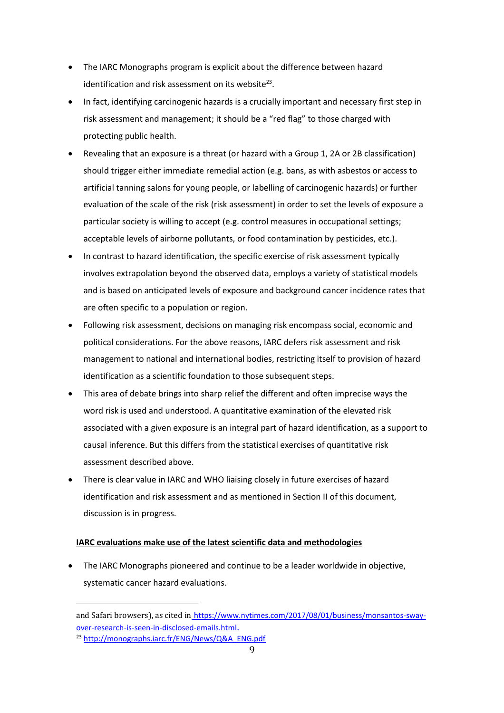- The IARC Monographs program is explicit about the difference between hazard identification and risk assessment on its website $^{23}$ .
- In fact, identifying carcinogenic hazards is a crucially important and necessary first step in risk assessment and management; it should be a "red flag" to those charged with protecting public health.
- Revealing that an exposure is a threat (or hazard with a Group 1, 2A or 2B classification) should trigger either immediate remedial action (e.g. bans, as with asbestos or access to artificial tanning salons for young people, or labelling of carcinogenic hazards) or further evaluation of the scale of the risk (risk assessment) in order to set the levels of exposure a particular society is willing to accept (e.g. control measures in occupational settings; acceptable levels of airborne pollutants, or food contamination by pesticides, etc.).
- In contrast to hazard identification, the specific exercise of risk assessment typically involves extrapolation beyond the observed data, employs a variety of statistical models and is based on anticipated levels of exposure and background cancer incidence rates that are often specific to a population or region.
- Following risk assessment, decisions on managing risk encompass social, economic and political considerations. For the above reasons, IARC defers risk assessment and risk management to national and international bodies, restricting itself to provision of hazard identification as a scientific foundation to those subsequent steps.
- This area of debate brings into sharp relief the different and often imprecise ways the word risk is used and understood. A quantitative examination of the elevated risk associated with a given exposure is an integral part of hazard identification, as a support to causal inference. But this differs from the statistical exercises of quantitative risk assessment described above.
- There is clear value in IARC and WHO liaising closely in future exercises of hazard identification and risk assessment and as mentioned in Section II of this document, discussion is in progress.

## **IARC evaluations make use of the latest scientific data and methodologies**

 The IARC Monographs pioneered and continue to be a leader worldwide in objective, systematic cancer hazard evaluations.

and Safari browsers), as cited in [https://www.nytimes.com/2017/08/01/business/monsantos-sway](https://www.nytimes.com/2017/08/01/business/monsantos-sway-over-research-is-seen-in-disclosed-emails.html)[over-research-is-seen-in-disclosed-emails.html](https://www.nytimes.com/2017/08/01/business/monsantos-sway-over-research-is-seen-in-disclosed-emails.html).

<sup>23</sup> [http://monographs.iarc.fr/ENG/News/Q&A\\_ENG.pdf](http://monographs.iarc.fr/ENG/News/Q&A_ENG.pdf)